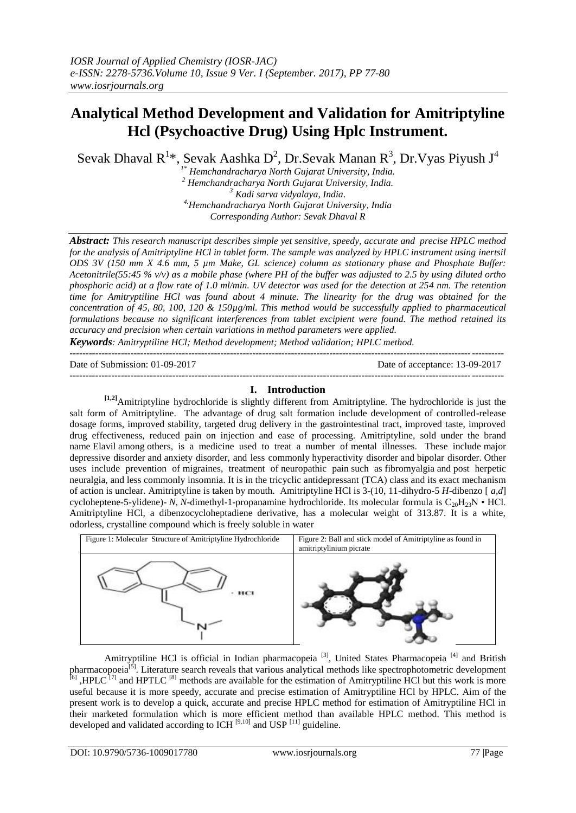# **Analytical Method Development and Validation for Amitriptyline Hcl (Psychoactive Drug) Using Hplc Instrument.**

Sevak Dhaval R $^{1*}$ , Sevak Aashka D $^{2}$ , Dr.Sevak Manan R $^{3}$ , Dr.Vyas Piyush J $^{4}$ 

*1\* Hemchandracharya North Gujarat University, India. <sup>2</sup> Hemchandracharya North Gujarat University, India. <sup>3</sup> Kadi sarva vidyalaya, India. 4.Hemchandracharya North Gujarat University, India Corresponding Author: Sevak Dhaval R*

*Abstract: This research manuscript describes simple yet sensitive, speedy, accurate and precise HPLC method for the analysis of Amitriptyline HCl in tablet form. The sample was analyzed by HPLC instrument using inertsil ODS 3V (150 mm X 4.6 mm, 5 µm Make, GL science) column as stationary phase and Phosphate Buffer: Acetonitrile(55:45 % v/v) as a mobile phase (where PH of the buffer was adjusted to 2.5 by using diluted ortho phosphoric acid) at a flow rate of 1.0 ml/min. UV detector was used for the detection at 254 nm. The retention time for Amitryptiline HCl was found about 4 minute. The linearity for the drug was obtained for the concentration of 45, 80, 100, 120 & 150µg/ml. This method would be successfully applied to pharmaceutical formulations because no significant interferences from tablet excipient were found. The method retained its accuracy and precision when certain variations in method parameters were applied.*

*Keywords: Amitryptiline HCl; Method development; Method validation; HPLC method.* ---------------------------------------------------------------------------------------------------------------------------------------

Date of Submission: 01-09-2017 Date of acceptance: 13-09-2017

#### **I. Introduction**

---------------------------------------------------------------------------------------------------------------------------------------

**[1,2]**Amitriptyline hydrochloride is slightly different from Amitriptyline. The hydrochloride is just the salt form of Amitriptyline. The advantage of drug salt formation include development of controlled-release dosage forms, improved stability, targeted drug delivery in the gastrointestinal tract, improved taste, improved drug effectiveness, reduced pain on injection and ease of processing. Amitriptyline, sold under the brand name Elavil among others, is a medicine used to treat a number of mental illnesses. These include major depressive disorder and anxiety disorder, and less commonly hyperactivity disorder and bipolar disorder. Other uses include prevention of migraines, treatment of neuropathic pain such as fibromyalgia and post herpetic neuralgia, and less commonly insomnia. It is in the tricyclic antidepressant (TCA) class and its exact mechanism of action is unclear. Amitriptyline is taken by mouth. Amitriptyline HCl is 3-(10, 11-dihydro-5 *H*-dibenzo [ *a,d*] cycloheptene-5-ylidene)-  $N$ ,  $N$ -dimethyl-1-propanamine hydrochloride. Its molecular formula is  $C_{20}H_{23}N \cdot HCl$ . Amitriptyline HCl, a dibenzocycloheptadiene derivative, has a molecular weight of 313.87. It is a white, odorless, crystalline compound which is freely soluble in water



Amitryptiline HCl is official in Indian pharmacopeia<sup>[3]</sup>, United States Pharmacopeia<sup>[4]</sup> and British pharmacopoeia<sup>[5]</sup>. Literature search reveals that various analytical methods like spectrophotometric development <sup>[6]</sup>, HPLC<sup> $[7]$ </sup> and HPTLC<sup>[8]</sup> methods are available for the estimation of Amitryptiline HCl but this work is more useful because it is more speedy, accurate and precise estimation of Amitryptiline HCl by HPLC. Aim of the present work is to develop a quick, accurate and precise HPLC method for estimation of Amitryptiline HCl in their marketed formulation which is more efficient method than available HPLC method. This method is developed and validated according to ICH  $^{[9,10]}$  and USP  $^{[11]}$  guideline.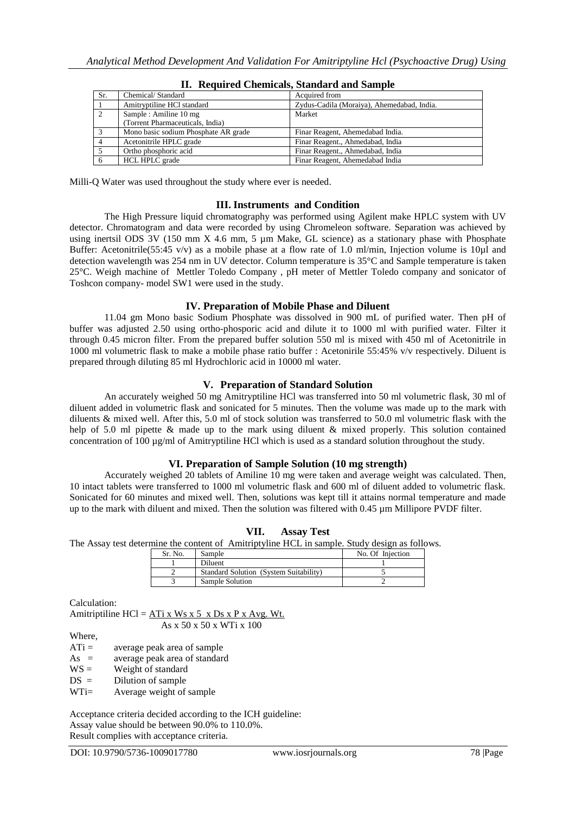|  |  |  |  | II. Required Chemicals, Standard and Sample |
|--|--|--|--|---------------------------------------------|
|--|--|--|--|---------------------------------------------|

Milli-Q Water was used throughout the study where ever is needed.

#### **III. Instruments and Condition**

The High Pressure liquid chromatography was performed using Agilent make HPLC system with UV detector. Chromatogram and data were recorded by using Chromeleon software. Separation was achieved by using inertsil ODS 3V (150 mm X 4.6 mm, 5 µm Make, GL science) as a stationary phase with Phosphate Buffer: Acetonitrile(55:45 v/v) as a mobile phase at a flow rate of 1.0 ml/min, Injection volume is 10 $\mu$ l and detection wavelength was 254 nm in UV detector. Column temperature is 35°C and Sample temperature is taken 25°C. Weigh machine of Mettler Toledo Company , pH meter of Mettler Toledo company and sonicator of Toshcon company- model SW1 were used in the study.

#### **IV. Preparation of Mobile Phase and Diluent**

11.04 gm Mono basic Sodium Phosphate was dissolved in 900 mL of purified water. Then pH of buffer was adjusted 2.50 using ortho-phosporic acid and dilute it to 1000 ml with purified water. Filter it through 0.45 micron filter. From the prepared buffer solution 550 ml is mixed with 450 ml of Acetonitrile in 1000 ml volumetric flask to make a mobile phase ratio buffer : Acetonirile 55:45% v/v respectively. Diluent is prepared through diluting 85 ml Hydrochloric acid in 10000 ml water.

## **V. Preparation of Standard Solution**

An accurately weighed 50 mg Amitryptiline HCl was transferred into 50 ml volumetric flask, 30 ml of diluent added in volumetric flask and sonicated for 5 minutes. Then the volume was made up to the mark with diluents & mixed well. After this, 5.0 ml of stock solution was transferred to 50.0 ml volumetric flask with the help of 5.0 ml pipette & made up to the mark using diluent & mixed properly. This solution contained concentration of 100 µg/ml of Amitryptiline HCl which is used as a standard solution throughout the study.

## **VI. Preparation of Sample Solution (10 mg strength)**

Accurately weighed 20 tablets of Amiline 10 mg were taken and average weight was calculated. Then, 10 intact tablets were transferred to 1000 ml volumetric flask and 600 ml of diluent added to volumetric flask. Sonicated for 60 minutes and mixed well. Then, solutions was kept till it attains normal temperature and made up to the mark with diluent and mixed. Then the solution was filtered with 0.45 µm Millipore PVDF filter.

## **VII. Assay Test**

The Assay test determine the content of Amitriptyline HCL in sample. Study design as follows.

| Sr. No. | Sample                                 | No. Of Injection |
|---------|----------------------------------------|------------------|
|         | Diluent                                |                  |
|         | Standard Solution (System Suitability) |                  |
|         | Sample Solution                        |                  |

Calculation:

Amitriptiline  $HCl = ATi x Ws x 5 x Ds x P x Avg. Wt.$ 

As x 50 x 50 x WTi x 100

Where,

 $ATi =$  average peak area of sample

As = average peak area of standard

 $WS =$  Weight of standard

 $DS =$  Dilution of sample

WTi= Average weight of sample

Acceptance criteria decided according to the ICH guideline: Assay value should be between 90.0% to 110.0%. Result complies with acceptance criteria.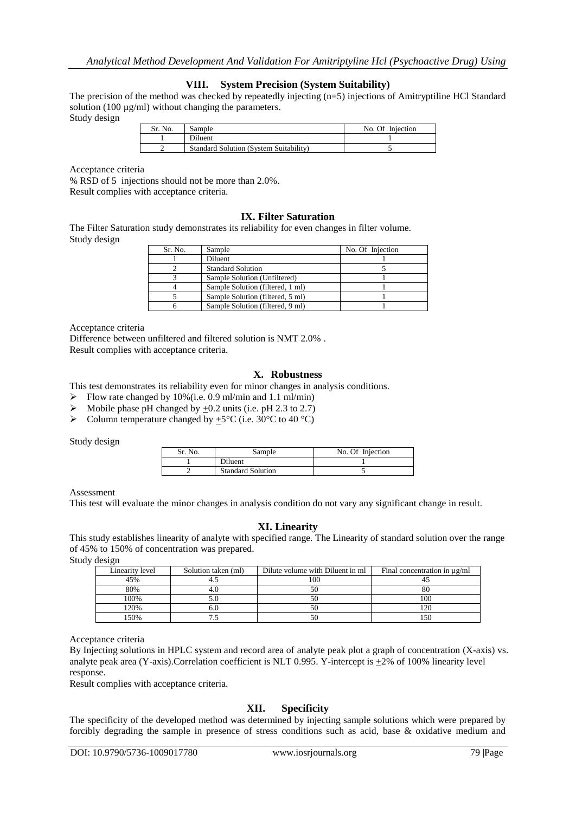## **VIII. System Precision (System Suitability)**

The precision of the method was checked by repeatedly injecting (n=5) injections of Amitryptiline HCl Standard solution (100  $\mu$ g/ml) without changing the parameters.

Study design

| Sr. No. | Sample                                        | No. Of Injection |
|---------|-----------------------------------------------|------------------|
|         | Diluent                                       |                  |
|         | <b>Standard Solution (System Suitability)</b> |                  |

Acceptance criteria

% RSD of 5 injections should not be more than 2.0%.

Result complies with acceptance criteria.

## **IX. Filter Saturation**

The Filter Saturation study demonstrates its reliability for even changes in filter volume. Study design

| Sr. No. | Sample                           | No. Of Injection |
|---------|----------------------------------|------------------|
|         | Diluent                          |                  |
|         | <b>Standard Solution</b>         |                  |
|         | Sample Solution (Unfiltered)     |                  |
|         | Sample Solution (filtered, 1 ml) |                  |
|         | Sample Solution (filtered, 5 ml) |                  |
|         | Sample Solution (filtered, 9 ml) |                  |

Acceptance criteria

Difference between unfiltered and filtered solution is NMT 2.0% . Result complies with acceptance criteria.

#### **X. Robustness**

This test demonstrates its reliability even for minor changes in analysis conditions.

- $\triangleright$  Flow rate changed by 10%(i.e. 0.9 ml/min and 1.1 ml/min)
- $\triangleright$  Mobile phase pH changed by +0.2 units (i.e. pH 2.3 to 2.7)
- $\triangleright$  Column temperature changed by +5°C (i.e. 30°C to 40 °C)

Study design

| Sr. No. | Sample                   | No. Of Injection |
|---------|--------------------------|------------------|
|         | Diluent                  |                  |
|         | <b>Standard Solution</b> |                  |

Assessment

This test will evaluate the minor changes in analysis condition do not vary any significant change in result.

#### **XI. Linearity**

This study establishes linearity of analyte with specified range. The Linearity of standard solution over the range of 45% to 150% of concentration was prepared.

Study design

| Linearity level | Solution taken (ml) | Dilute volume with Diluent in ml | Final concentration in $\mu$ g/ml |
|-----------------|---------------------|----------------------------------|-----------------------------------|
| 45%             |                     | 100                              |                                   |
| 80%             |                     | 50                               | 80                                |
| 100%            |                     | 50                               | 100                               |
| 120%            | 0.U                 | 50                               | 120                               |
| 150%            |                     | 50                               | l 50                              |

Acceptance criteria

By Injecting solutions in HPLC system and record area of analyte peak plot a graph of concentration (X-axis) vs. analyte peak area (Y-axis).Correlation coefficient is NLT 0.995. Y-intercept is  $\pm 2\%$  of 100% linearity level response.

Result complies with acceptance criteria.

## **XII. Specificity**

The specificity of the developed method was determined by injecting sample solutions which were prepared by forcibly degrading the sample in presence of stress conditions such as acid, base & oxidative medium and